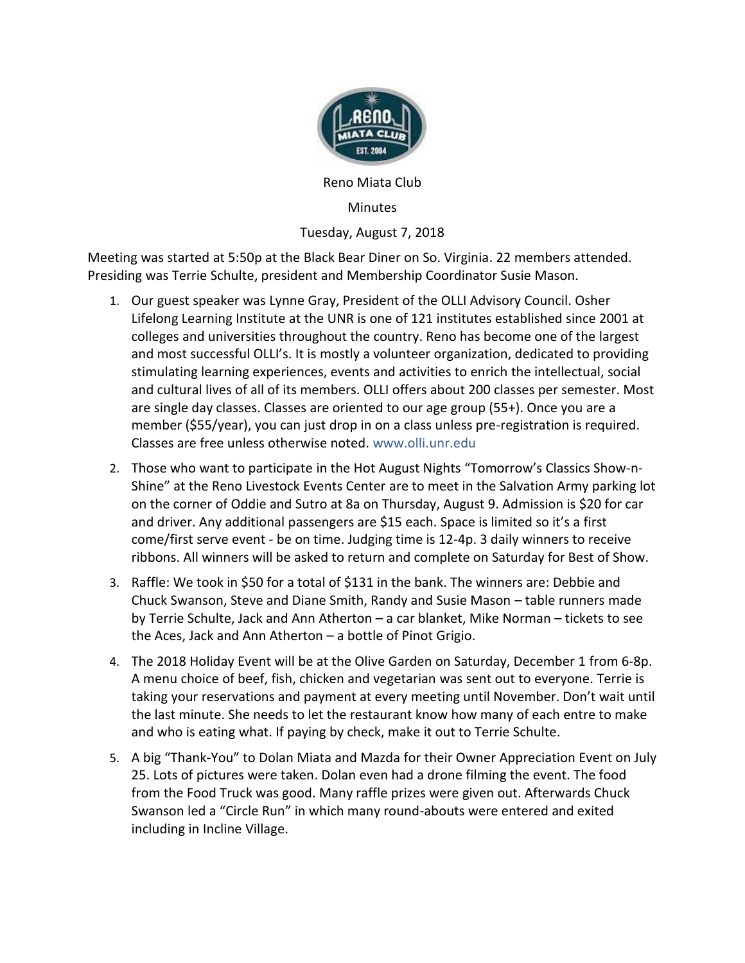

Reno Miata Club

**Minutes** 

Tuesday, August 7, 2018

Meeting was started at 5:50p at the Black Bear Diner on So. Virginia. 22 members attended. Presiding was Terrie Schulte, president and Membership Coordinator Susie Mason.

- 1. Our guest speaker was Lynne Gray, President of the OLLI Advisory Council. Osher Lifelong Learning Institute at the UNR is one of 121 institutes established since 2001 at colleges and universities throughout the country. Reno has become one of the largest and most successful OLLI's. It is mostly a volunteer organization, dedicated to providing stimulating learning experiences, events and activities to enrich the intellectual, social and cultural lives of all of its members. OLLI offers about 200 classes per semester. Most are single day classes. Classes are oriented to our age group (55+). Once you are a member (\$55/year), you can just drop in on a class unless pre-registration is required. Classes are free unless otherwise noted. www.olli.unr.edu
- 2. Those who want to participate in the Hot August Nights "Tomorrow's Classics Show-n-Shine" at the Reno Livestock Events Center are to meet in the Salvation Army parking lot on the corner of Oddie and Sutro at 8a on Thursday, August 9. Admission is \$20 for car and driver. Any additional passengers are \$15 each. Space is limited so it's a first come/first serve event - be on time. Judging time is 12-4p. 3 daily winners to receive ribbons. All winners will be asked to return and complete on Saturday for Best of Show.
- 3. Raffle: We took in \$50 for a total of \$131 in the bank. The winners are: Debbie and Chuck Swanson, Steve and Diane Smith, Randy and Susie Mason – table runners made by Terrie Schulte, Jack and Ann Atherton – a car blanket, Mike Norman – tickets to see the Aces, Jack and Ann Atherton – a bottle of Pinot Grigio.
- 4. The 2018 Holiday Event will be at the Olive Garden on Saturday, December 1 from 6-8p. A menu choice of beef, fish, chicken and vegetarian was sent out to everyone. Terrie is taking your reservations and payment at every meeting until November. Don't wait until the last minute. She needs to let the restaurant know how many of each entre to make and who is eating what. If paying by check, make it out to Terrie Schulte.
- 5. A big "Thank-You" to Dolan Miata and Mazda for their Owner Appreciation Event on July 25. Lots of pictures were taken. Dolan even had a drone filming the event. The food from the Food Truck was good. Many raffle prizes were given out. Afterwards Chuck Swanson led a "Circle Run" in which many round-abouts were entered and exited including in Incline Village.